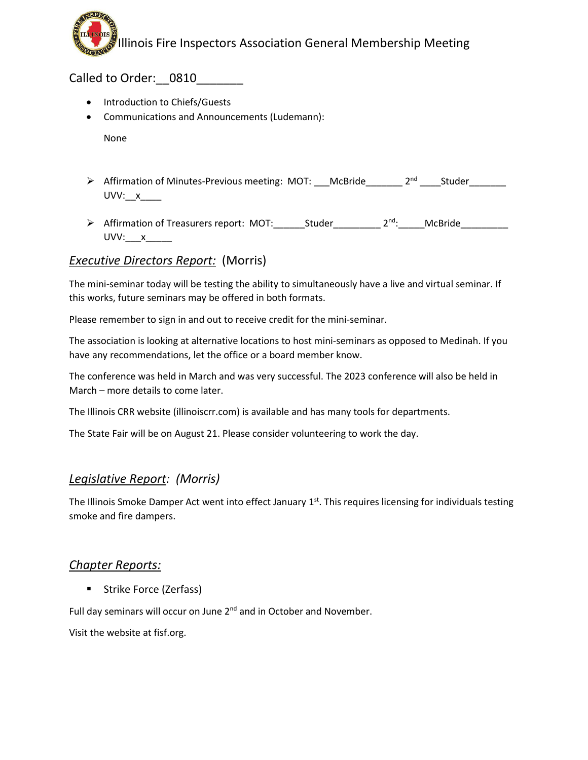Illinois Fire Inspectors Association General Membership Meeting

Called to Order: 0810

- Introduction to Chiefs/Guests
- Communications and Announcements (Ludemann):

None

- > Affirmation of Minutes-Previous meeting: MOT: McBride \_\_\_\_\_\_\_ 2<sup>nd</sup> \_\_\_\_\_ Studer UVV:\_\_x\_\_\_\_
- > Affirmation of Treasurers report: MOT: Studer \_\_\_\_\_\_\_\_ 2<sup>nd</sup>: McBride UVV:\_\_\_x\_\_\_\_\_

# *Executive Directors Report:* (Morris)

The mini-seminar today will be testing the ability to simultaneously have a live and virtual seminar. If this works, future seminars may be offered in both formats.

Please remember to sign in and out to receive credit for the mini-seminar.

The association is looking at alternative locations to host mini-seminars as opposed to Medinah. If you have any recommendations, let the office or a board member know.

The conference was held in March and was very successful. The 2023 conference will also be held in March – more details to come later.

The Illinois CRR website (illinoiscrr.com) is available and has many tools for departments.

The State Fair will be on August 21. Please consider volunteering to work the day.

# *Legislative Report: (Morris)*

The Illinois Smoke Damper Act went into effect January 1<sup>st</sup>. This requires licensing for individuals testing smoke and fire dampers.

#### *Chapter Reports:*

■ Strike Force (Zerfass)

Full day seminars will occur on June 2<sup>nd</sup> and in October and November.

Visit the website at fisf.org.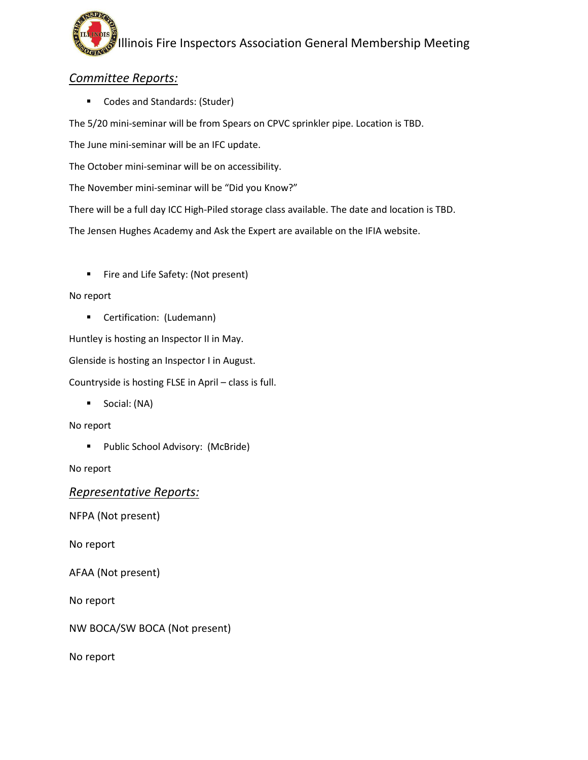

### *Committee Reports:*

 $SPI$ 

**Codes and Standards: (Studer)** 

The 5/20 mini-seminar will be from Spears on CPVC sprinkler pipe. Location is TBD.

The June mini-seminar will be an IFC update.

The October mini-seminar will be on accessibility.

The November mini-seminar will be "Did you Know?"

There will be a full day ICC High-Piled storage class available. The date and location is TBD.

The Jensen Hughes Academy and Ask the Expert are available on the IFIA website.

Fire and Life Safety: (Not present)

#### No report

**Certification: (Ludemann)** 

Huntley is hosting an Inspector II in May.

Glenside is hosting an Inspector I in August.

Countryside is hosting FLSE in April – class is full.

Social: (NA)

No report

**Public School Advisory: (McBride)** 

No report

*Representative Reports:*

NFPA (Not present)

No report

AFAA (Not present)

No report

NW BOCA/SW BOCA (Not present)

No report